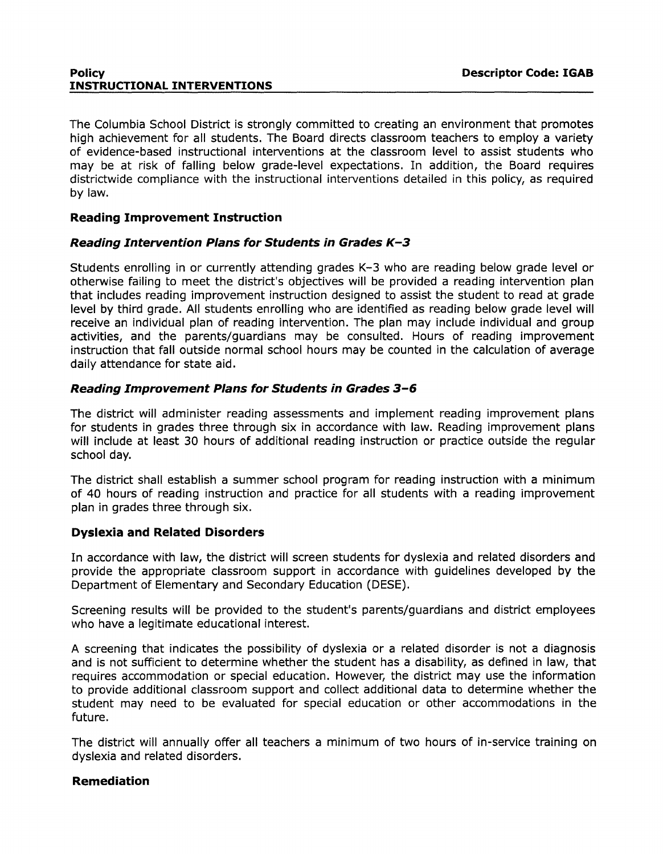The Columbia School District is strongly committed to creating an environment that promotes high achievement for all students. The Board directs classroom teachers to employ a variety of evidence-based instructional interventions at the classroom level to assist students who may be at risk of falling below grade-level expectations. In addition, the Board requires districtwide compliance with the instructional interventions detailed in this policy, as required by law.

# **Reading Improvement Instruction**

# **Reading Intervention Plans for Students in Grades K-3**

Students enrolling in or currently attending grades K-3 who are reading below grade level or otherwise failing to meet the district's objectives will be provided a reading intervention plan that includes reading improvement instruction designed to assist the student to read at grade level by third grade. All students enrolling who are identified as reading below grade level will receive an individual plan of reading intervention. The plan may include individual and group activities, and the parents/guardians may be consulted. Hours of reading improvement instruction that fall outside normal school hours may be counted in the calculation of average daily attendance for state aid.

# **Reading Improvement Plans for Students in Grades 3-6**

The district will administer reading assessments and implement reading improvement plans for students in grades three through six in accordance with law. Reading improvement plans will include at least 30 hours of additional reading instruction or practice outside the regular school day.

The district shall establish a summer school program for reading instruction with a minimum of 40 hours of reading instruction and practice for all students with a reading improvement plan in grades three through six.

# **Dyslexia and Related Disorders**

In accordance with law, the district will screen students for dyslexia and related disorders and provide the appropriate classroom support in accordance with guidelines developed by the Department of Elementary and Secondary Education (DESE).

Screening results will be provided to the student's parents/guardians and district employees who have a legitimate educational interest.

A screening that indicates the possibility of dyslexia or a related disorder is not a diagnosis and is not sufficient to determine whether the student has a disability, as defined in law, that requires accommodation or special education. However, the district may use the information to provide additional classroom support and collect additional data to determine whether the student may need to be evaluated for special education or other accommodations in the future.

The district will annually offer all teachers a minimum of two hours of in-service training on dyslexia and related disorders.

# **Remediation**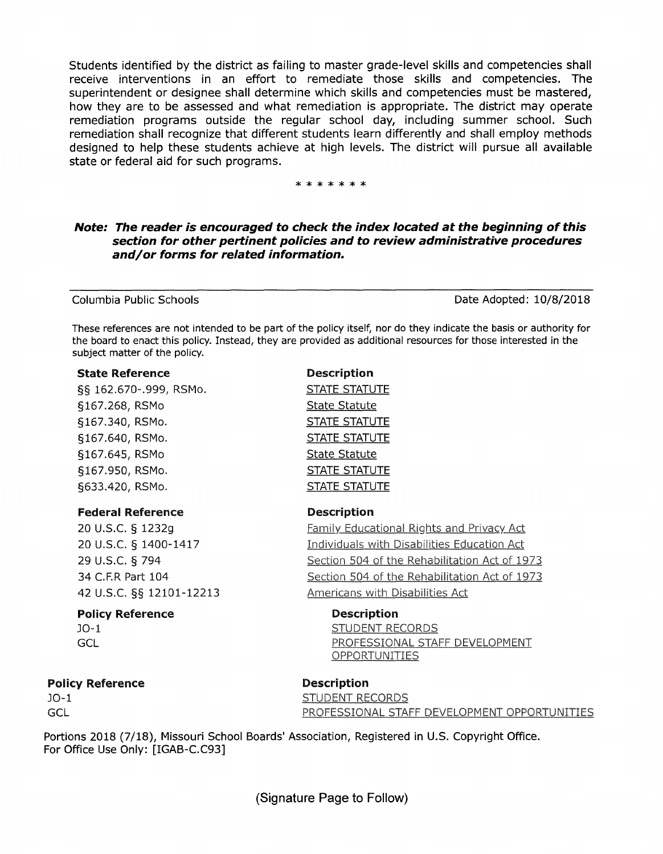Students identified by the district as failing to master grade-level skills and competencies shall receive interventions in an effort to remediate those skills and competencies. The superintendent or designee shall determine which skills and competencies must be mastered, how they are to be assessed and what remediation is appropriate. The district may operate remediation programs outside the regular school day, including summer school. Such remediation shall recognize that different students learn differently and shall employ methods designed to help these students achieve at high levels. The district will pursue all available state or federal aid for such programs.

#### \*\*\*\*\*\*\*

### **Note: The reader is encouraged to check the index located at the beginning of this section for other pertinent policies and to review administrative procedures and/ or forms for related information.**

Columbia Public Schools Date Adopted: 10/8/2018

These references are not intended to be part of the policy itself, nor do they indicate the basis or authority for the board to enact this policy. Instead, they are provided as additional resources for those interested in the subject matter of the policy.

> Description STATE STATUTE State Statute STATE STATUTE STATE STATUTE State Statute STATE STATUTE STATE STATUTE

Description

#### State Reference

§§ 162.670-.999, RSMo. §167.268, RSMo §167.340, RSMo. §167.640, RSMo. §167.645, RSMo §167.950, RSMo. §633.420, RSMo.

### federal Reference

20 u.s.c. § 1232g 20 u.s.c. § 1400-1417 29 u.s.c. § 794 34 C.F.R Part 104 42 u.s.c. §§ 12101-12213

### Policy Reference

J0-1 **GCL** 

### Policy Reference

J0-1 GCL

Description

Description

Americans with Disabilities Act

STUDENT RECORDS

OPPORTUNITIES

STUDENT RECORDS PROFESSIONAL STAFF DEVELOPMENT OPPORTUNITIES

PROFESSIONAL STAFF DEVELOPMENT

Family Educational Rights and Privacy Act Individuals with Disabilities Education Act Section 504 of the Rehabilitation Act of 1973 Section 504 of the Rehabilitation Act of 1973

Portions 2018 (7/18), Missouri School Boards' Association, Registered in U.S. Copyright Office. For Office Use Only: [IGAB-C.C93]